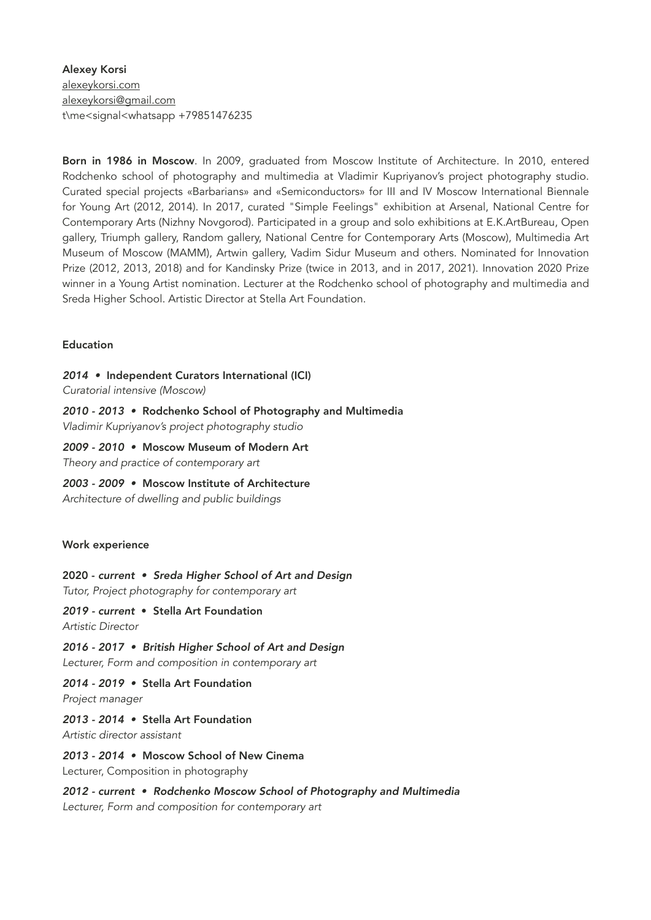Alexey Korsi [alexeykorsi.com](http://alexeykorsi.com) [alexeykorsi@gmail.com](mailto:alexeykorsi@gmail.com) t\me<signal<whatsapp +79851476235

Born in 1986 in Moscow. In 2009, graduated from Moscow Institute of Architecture. In 2010, entered Rodchenko school of photography and multimedia at Vladimir Kupriyanov's project photography studio. Curated special projects «Barbarians» and «Semiconductors» for III and IV Moscow International Biennale for Young Art (2012, 2014). In 2017, curated "Simple Feelings" exhibition at Arsenal, National Centre for Contemporary Arts (Nizhny Novgorod). Participated in a group and solo exhibitions at E.K.ArtBureau, Open gallery, Triumph gallery, Random gallery, National Centre for Contemporary Arts (Moscow), Multimedia Art Museum of Moscow (MAMM), Artwin gallery, Vadim Sidur Museum and others. Nominated for Innovation Prize (2012, 2013, 2018) and for Kandinsky Prize (twice in 2013, and in 2017, 2021). Innovation 2020 Prize winner in a Young Artist nomination. Lecturer at the Rodchenko school of photography and multimedia and Sreda Higher School. Artistic Director at Stella Art Foundation.

### Education

*2014 •* Independent Curators International (ICI)

*Curatorial intensive (Moscow)* 

# *2010 - 2013 •* Rodchenko School of Photography and Multimedia

*Vladimir Kupriyanov's project photography studio* 

*2009 - 2010 •* Moscow Museum of Modern Art *Theory and practice of contemporary art* 

*2003 - 2009 •* Moscow Institute of Architecture

*Architecture of dwelling and public buildings* 

# Work experience

2020 - *current • Sreda Higher School of Art and Design* 

*Tutor, Project photography for contemporary art* 

# *2019 - current* • Stella Art Foundation

*Artistic Director* 

*2016 - 2017 • British Higher School of Art and Design* 

*Lecturer, Form and composition in contemporary art* 

*2014 - 2019 •* Stella Art Foundation

*Project manager* 

# *2013 - 2014 •* Stella Art Foundation

*Artistic director assistant* 

# *2013 - 2014 •* Moscow School of New Cinema

Lecturer, Composition in photography

*2012 - current • Rodchenko Moscow School of Photography and Multimedia* 

*Lecturer, Form and composition for contemporary art*